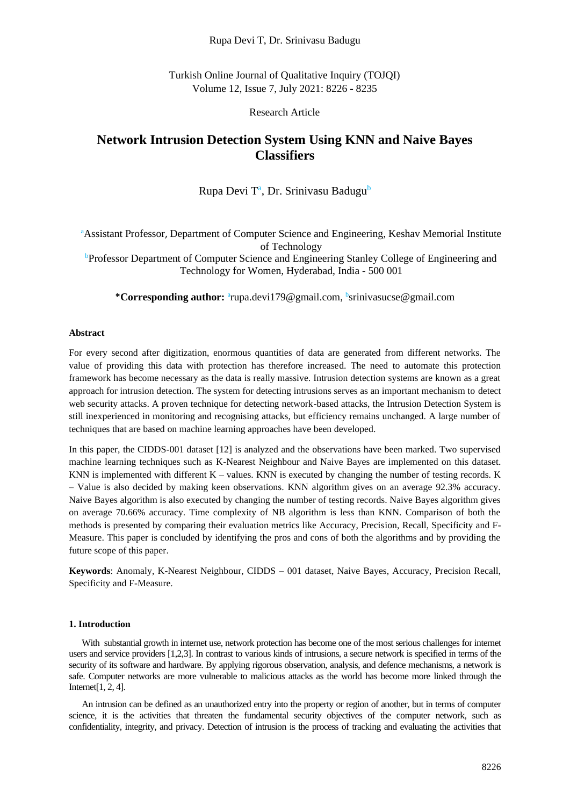# Rupa Devi T, Dr. Srinivasu Badugu

Turkish Online Journal of Qualitative Inquiry (TOJQI) Volume 12, Issue 7, July 2021: 8226 - 8235

Research Article

# **Network Intrusion Detection System Using KNN and Naive Bayes Classifiers**

# Rupa Devi T<sup>a</sup>, Dr. Srinivasu Badugu<sup>b</sup>

<sup>a</sup>Assistant Professor, Department of Computer Science and Engineering, Keshav Memorial Institute of Technology

<sup>b</sup>Professor Department of Computer Science and Engineering Stanley College of Engineering and Technology for Women, Hyderabad, India - 500 001

\*Corresponding author: <sup>a</sup>rupa.devi179@gmail.com, bsrinivasucse@gmail.com

#### **Abstract**

For every second after digitization, enormous quantities of data are generated from different networks. The value of providing this data with protection has therefore increased. The need to automate this protection framework has become necessary as the data is really massive. Intrusion detection systems are known as a great approach for intrusion detection. The system for detecting intrusions serves as an important mechanism to detect web security attacks. A proven technique for detecting network-based attacks, the Intrusion Detection System is still inexperienced in monitoring and recognising attacks, but efficiency remains unchanged. A large number of techniques that are based on machine learning approaches have been developed.

In this paper, the CIDDS-001 dataset [12] is analyzed and the observations have been marked. Two supervised machine learning techniques such as K-Nearest Neighbour and Naive Bayes are implemented on this dataset. KNN is implemented with different  $K -$  values. KNN is executed by changing the number of testing records. K – Value is also decided by making keen observations. KNN algorithm gives on an average 92.3% accuracy. Naive Bayes algorithm is also executed by changing the number of testing records. Naive Bayes algorithm gives on average 70.66% accuracy. Time complexity of NB algorithm is less than KNN. Comparison of both the methods is presented by comparing their evaluation metrics like Accuracy, Precision, Recall, Specificity and F-Measure. This paper is concluded by identifying the pros and cons of both the algorithms and by providing the future scope of this paper.

**Keywords**: Anomaly, K-Nearest Neighbour, CIDDS – 001 dataset, Naive Bayes, Accuracy, Precision Recall, Specificity and F-Measure.

### **1. Introduction**

With substantial growth in internet use, network protection has become one of the most serious challenges for internet users and service providers [1,2,3]. In contrast to various kinds of intrusions, a secure network is specified in terms of the security of its software and hardware. By applying rigorous observation, analysis, and defence mechanisms, a network is safe. Computer networks are more vulnerable to malicious attacks as the world has become more linked through the Internet[1, 2, 4].

An intrusion can be defined as an unauthorized entry into the property or region of another, but in terms of computer science, it is the activities that threaten the fundamental security objectives of the computer network, such as confidentiality, integrity, and privacy. Detection of intrusion is the process of tracking and evaluating the activities that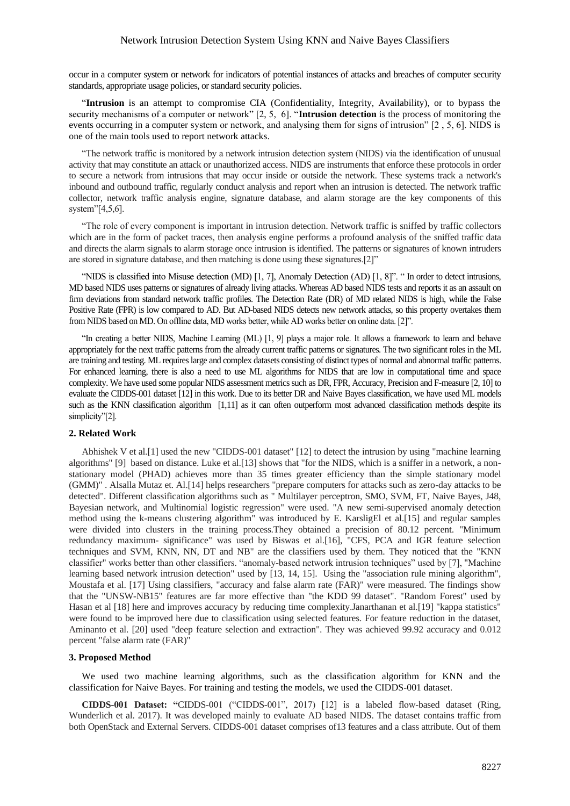### Network Intrusion Detection System Using KNN and Naive Bayes Classifiers

occur in a computer system or network for indicators of potential instances of attacks and breaches of computer security standards, appropriate usage policies, or standard security policies.

"**Intrusion** is an attempt to compromise CIA (Confidentiality, Integrity, Availability), or to bypass the security mechanisms of a computer or network" [2, 5, 6]. "**Intrusion detection** is the process of monitoring the events occurring in a computer system or network, and analysing them for signs of intrusion" [2 , 5, 6]. NIDS is one of the main tools used to report network attacks.

"The network traffic is monitored by a network intrusion detection system (NIDS) via the identification of unusual activity that may constitute an attack or unauthorized access. NIDS are instruments that enforce these protocols in order to secure a network from intrusions that may occur inside or outside the network. These systems track a network's inbound and outbound traffic, regularly conduct analysis and report when an intrusion is detected. The network traffic collector, network traffic analysis engine, signature database, and alarm storage are the key components of this system"[4,5,6].

"The role of every component is important in intrusion detection. Network traffic is sniffed by traffic collectors which are in the form of packet traces, then analysis engine performs a profound analysis of the sniffed traffic data and directs the alarm signals to alarm storage once intrusion is identified. The patterns or signatures of known intruders are stored in signature database, and then matching is done using these signatures.[2]"

"NIDS is classified into Misuse detection (MD) [1, 7], Anomaly Detection (AD) [1, 8]". " In order to detect intrusions, MD based NIDS uses patterns or signatures of already living attacks. Whereas AD based NIDS tests and reports it as an assault on firm deviations from standard network traffic profiles. The Detection Rate (DR) of MD related NIDS is high, while the False Positive Rate (FPR) is low compared to AD. But AD-based NIDS detects new network attacks, so this property overtakes them from NIDS based on MD. On offline data, MD works better, while AD works better on online data. [2]".

"In creating a better NIDS, Machine Learning (ML) [1, 9] plays a major role. It allows a framework to learn and behave appropriately for the next traffic patterns from the already current traffic patterns or signatures. The two significant roles in the ML are training and testing. ML requires large and complex datasets consisting of distinct types of normal and abnormal traffic patterns. For enhanced learning, there is also a need to use ML algorithms for NIDS that are low in computational time and space complexity. We have used some popular NIDS assessment metrics such as DR, FPR, Accuracy, Precision and F-measure [2, 10] to evaluate the CIDDS-001 dataset [12] in this work. Due to its better DR and Naive Bayes classification, we have used ML models such as the KNN classification algorithm [1,11] as it can often outperform most advanced classification methods despite its simplicity"[2].

### **2. Related Work**

Abhishek V et al.[1] used the new "CIDDS-001 dataset" [12] to detect the intrusion by using "machine learning algorithms" [9] based on distance. Luke et al.[13] shows that "for the NIDS, which is a sniffer in a network, a nonstationary model (PHAD) achieves more than 35 times greater efficiency than the simple stationary model (GMM)" . Alsalla Mutaz et. Al.[14] helps researchers "prepare computers for attacks such as zero-day attacks to be detected". Different classification algorithms such as " Multilayer perceptron, SMO, SVM, FT, Naive Bayes, J48, Bayesian network, and Multinomial logistic regression" were used. "A new semi-supervised anomaly detection method using the k-means clustering algorithm" was introduced by E. KarsligEl et al.[15] and regular samples were divided into clusters in the training process.They obtained a precision of 80.12 percent. "Minimum redundancy maximum- significance" was used by Biswas et al.[16], "CFS, PCA and IGR feature selection techniques and SVM, KNN, NN, DT and NB" are the classifiers used by them. They noticed that the "KNN classifier" works better than other classifiers. "anomaly-based network intrusion techniques" used by [7], "Machine learning based network intrusion detection" used by [13, 14, 15]. Using the "association rule mining algorithm", Moustafa et al. [17] Using classifiers, "accuracy and false alarm rate (FAR)" were measured. The findings show that the "UNSW-NB15" features are far more effective than "the KDD 99 dataset". "Random Forest" used by Hasan et al [18] here and improves accuracy by reducing time complexity.Janarthanan et al.[19] "kappa statistics" were found to be improved here due to classification using selected features. For feature reduction in the dataset, Aminanto et al. [20] used "deep feature selection and extraction". They was achieved 99.92 accuracy and 0.012 percent "false alarm rate (FAR)"

#### **3. Proposed Method**

We used two machine learning algorithms, such as the classification algorithm for KNN and the classification for Naive Bayes. For training and testing the models, we used the CIDDS-001 dataset.

**CIDDS-001 Dataset: "**CIDDS-001 ("CIDDS-001", 2017) [12] is a labeled flow-based dataset (Ring, Wunderlich et al. 2017). It was developed mainly to evaluate AD based NIDS. The dataset contains traffic from both OpenStack and External Servers. CIDDS-001 dataset comprises of13 features and a class attribute. Out of them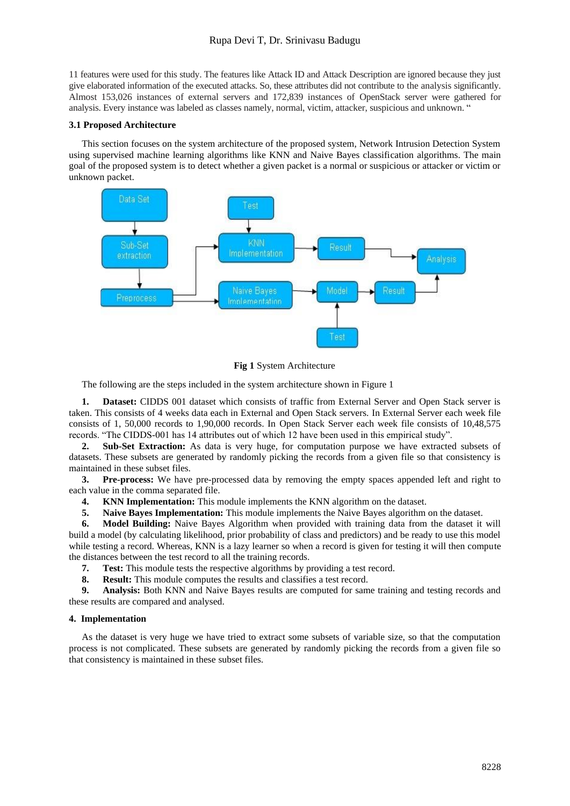# Rupa Devi T, Dr. Srinivasu Badugu

11 features were used for this study. The features like Attack ID and Attack Description are ignored because they just give elaborated information of the executed attacks. So, these attributes did not contribute to the analysis significantly. Almost 153,026 instances of external servers and 172,839 instances of OpenStack server were gathered for analysis. Every instance was labeled as classes namely, normal, victim, attacker, suspicious and unknown. "

### **3.1 Proposed Architecture**

This section focuses on the system architecture of the proposed system, Network Intrusion Detection System using supervised machine learning algorithms like KNN and Naive Bayes classification algorithms. The main goal of the proposed system is to detect whether a given packet is a normal or suspicious or attacker or victim or unknown packet.



**Fig 1** System Architecture

The following are the steps included in the system architecture shown in Figure 1

**1. Dataset:** CIDDS 001 dataset which consists of traffic from External Server and Open Stack server is taken. This consists of 4 weeks data each in External and Open Stack servers. In External Server each week file consists of 1, 50,000 records to 1,90,000 records. In Open Stack Server each week file consists of 10,48,575 records. "The CIDDS-001 has 14 attributes out of which 12 have been used in this empirical study".

**2. Sub-Set Extraction:** As data is very huge, for computation purpose we have extracted subsets of datasets. These subsets are generated by randomly picking the records from a given file so that consistency is maintained in these subset files.

**3. Pre-process:** We have pre-processed data by removing the empty spaces appended left and right to each value in the comma separated file.

- **4. KNN Implementation:** This module implements the KNN algorithm on the dataset.
- **5. Naive Bayes Implementation:** This module implements the Naive Bayes algorithm on the dataset.

**6. Model Building:** Naive Bayes Algorithm when provided with training data from the dataset it will build a model (by calculating likelihood, prior probability of class and predictors) and be ready to use this model while testing a record. Whereas, KNN is a lazy learner so when a record is given for testing it will then compute the distances between the test record to all the training records.

- **7. Test:** This module tests the respective algorithms by providing a test record.
- **8. Result:** This module computes the results and classifies a test record.

**9. Analysis:** Both KNN and Naive Bayes results are computed for same training and testing records and these results are compared and analysed.

#### **4. Implementation**

As the dataset is very huge we have tried to extract some subsets of variable size, so that the computation process is not complicated. These subsets are generated by randomly picking the records from a given file so that consistency is maintained in these subset files.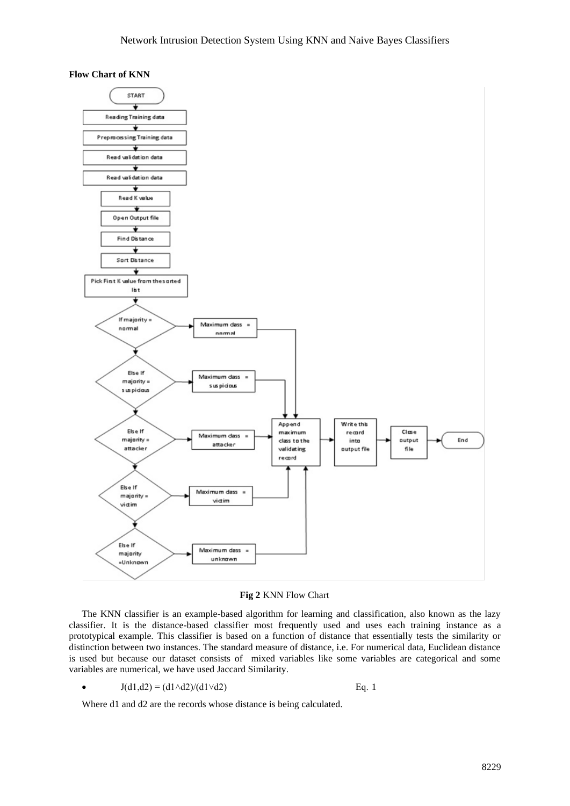





The KNN classifier is an example-based algorithm for learning and classification, also known as the lazy classifier. It is the distance-based classifier most frequently used and uses each training instance as a prototypical example. This classifier is based on a function of distance that essentially tests the similarity or distinction between two instances. The standard measure of distance, i.e. For numerical data, Euclidean distance is used but because our dataset consists of mixed variables like some variables are categorical and some variables are numerical, we have used Jaccard Similarity.

 $J(d1,d2) = (d1 \land d2)/(d1 \lor d2)$  Eq. 1

Where d1 and d2 are the records whose distance is being calculated.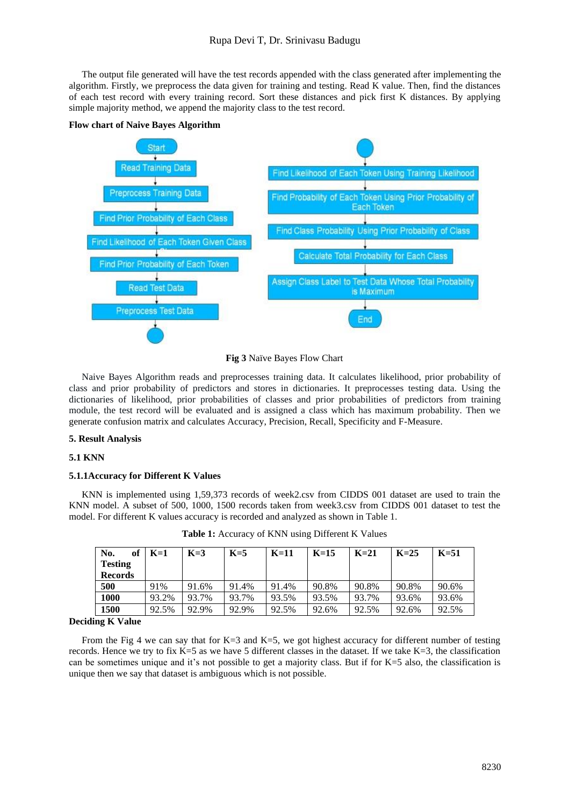The output file generated will have the test records appended with the class generated after implementing the algorithm. Firstly, we preprocess the data given for training and testing. Read K value. Then, find the distances of each test record with every training record. Sort these distances and pick first K distances. By applying simple majority method, we append the majority class to the test record.



**Flow chart of Naive Bayes Algorithm**

**Fig 3** Naïve Bayes Flow Chart

Naive Bayes Algorithm reads and preprocesses training data. It calculates likelihood, prior probability of class and prior probability of predictors and stores in dictionaries. It preprocesses testing data. Using the dictionaries of likelihood, prior probabilities of classes and prior probabilities of predictors from training module, the test record will be evaluated and is assigned a class which has maximum probability. Then we generate confusion matrix and calculates Accuracy, Precision, Recall, Specificity and F-Measure.

#### **5. Result Analysis**

#### **5.1 KNN**

### **5.1.1Accuracy for Different K Values**

KNN is implemented using 1,59,373 records of week2.csv from CIDDS 001 dataset are used to train the KNN model. A subset of 500, 1000, 1500 records taken from week3.csv from CIDDS 001 dataset to test the model. For different K values accuracy is recorded and analyzed as shown in Table 1.

| No.<br>of<br><b>Testing</b><br><b>Records</b> | $K=1$ | $K=3$ | $K=5$ | $K=11$ | $K=15$ | $K=21$ | $K=25$ | $K=51$ |
|-----------------------------------------------|-------|-------|-------|--------|--------|--------|--------|--------|
| 500                                           | 91%   | 91.6% | 91.4% | 91.4%  | 90.8%  | 90.8%  | 90.8%  | 90.6%  |
| 1000                                          | 93.2% | 93.7% | 93.7% | 93.5%  | 93.5%  | 93.7%  | 93.6%  | 93.6%  |
| 1500                                          | 92.5% | 92.9% | 92.9% | 92.5%  | 92.6%  | 92.5%  | 92.6%  | 92.5%  |

**Table 1:** Accuracy of KNN using Different K Values

#### **Deciding K Value**

From the Fig 4 we can say that for K=3 and K=5, we got highest accuracy for different number of testing records. Hence we try to fix K=5 as we have 5 different classes in the dataset. If we take K=3, the classification can be sometimes unique and it's not possible to get a majority class. But if for K=5 also, the classification is unique then we say that dataset is ambiguous which is not possible.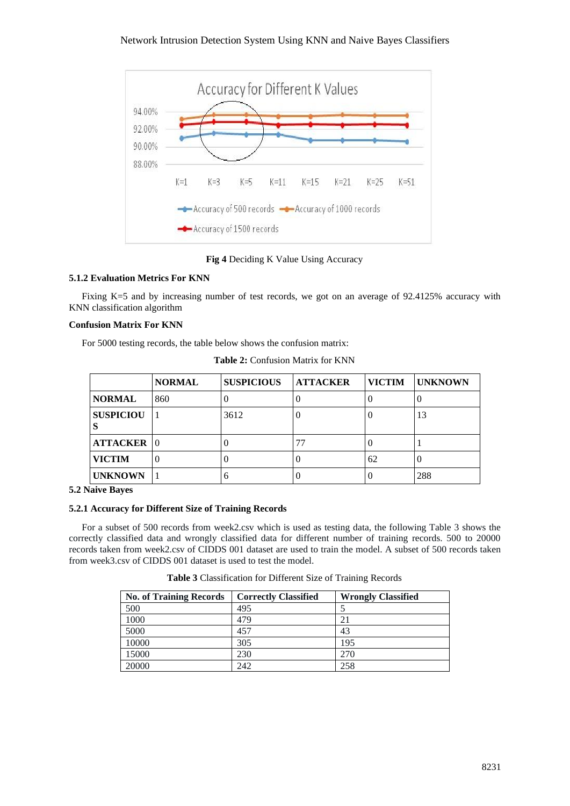

**Fig 4** Deciding K Value Using Accuracy

# **5.1.2 Evaluation Metrics For KNN**

Fixing K=5 and by increasing number of test records, we got on an average of 92.4125% accuracy with KNN classification algorithm

# **Confusion Matrix For KNN**

For 5000 testing records, the table below shows the confusion matrix:

|                  | <b>NORMAL</b> | <b>SUSPICIOUS</b> | <b>ATTACKER</b> | <b>VICTIM</b> | <b>IUNKNOWN</b> |
|------------------|---------------|-------------------|-----------------|---------------|-----------------|
| <b>NORMAL</b>    | 860           |                   |                 |               |                 |
| <b>SUSPICIOU</b> |               | 3612              |                 |               | 13              |
| ATTACKER 0       |               |                   | 77              |               |                 |
| <b>VICTIM</b>    |               | . J               |                 | 62            |                 |
| <b>UNKNOWN</b>   |               | 6                 |                 |               | 288             |

**Table 2:** Confusion Matrix for KNN

# **5.2 Naive Bayes**

# **5.2.1 Accuracy for Different Size of Training Records**

For a subset of 500 records from week2.csv which is used as testing data, the following Table 3 shows the correctly classified data and wrongly classified data for different number of training records. 500 to 20000 records taken from week2.csv of CIDDS 001 dataset are used to train the model. A subset of 500 records taken from week3.csv of CIDDS 001 dataset is used to test the model.

**Table 3** Classification for Different Size of Training Records

| <b>No. of Training Records</b> | <b>Correctly Classified</b> | <b>Wrongly Classified</b> |
|--------------------------------|-----------------------------|---------------------------|
| 500                            | 495                         |                           |
| 1000                           | 479                         |                           |
| 5000                           | 457                         | 43                        |
| 10000                          | 305                         | 195                       |
| 15000                          | 230                         | 270                       |
| 20000                          | 242                         | 258                       |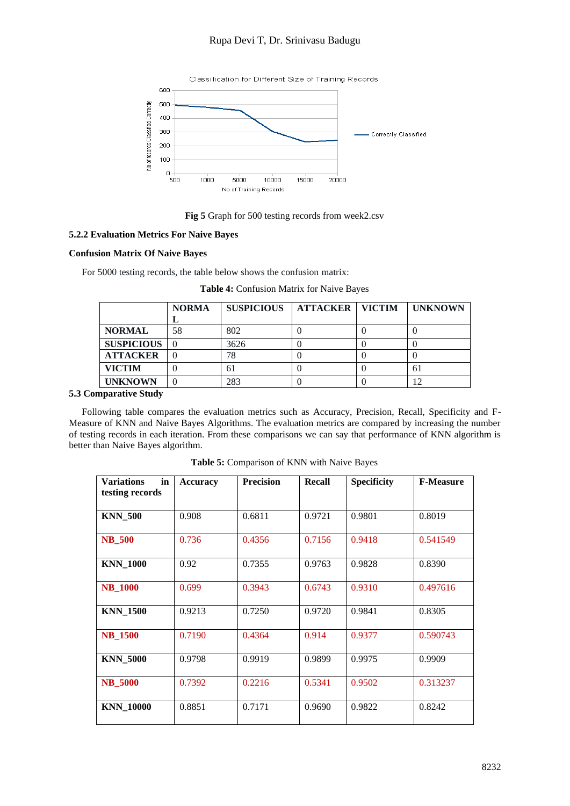# Rupa Devi T, Dr. Srinivasu Badugu



# **Fig 5** Graph for 500 testing records from week2.csv

### **5.2.2 Evaluation Metrics For Naive Bayes**

### **Confusion Matrix Of Naive Bayes**

For 5000 testing records, the table below shows the confusion matrix:

|                   | <b>NORMA</b> | <b>SUSPICIOUS</b> | <b>ATTACKER   VICTIM</b> | <b>UNKNOWN</b> |
|-------------------|--------------|-------------------|--------------------------|----------------|
|                   | ▪            |                   |                          |                |
| <b>NORMAL</b>     | 58           | 802               |                          |                |
| <b>SUSPICIOUS</b> |              | 3626              |                          |                |
| <b>ATTACKER</b>   |              | 78                |                          |                |
| <b>VICTIM</b>     |              | 61                |                          | 61             |
| <b>UNKNOWN</b>    |              | 283               |                          |                |

### **Table 4:** Confusion Matrix for Naive Bayes

# **5.3 Comparative Study**

Following table compares the evaluation metrics such as Accuracy, Precision, Recall, Specificity and F-Measure of KNN and Naive Bayes Algorithms. The evaluation metrics are compared by increasing the number of testing records in each iteration. From these comparisons we can say that performance of KNN algorithm is better than Naive Bayes algorithm.

| <b>Variations</b><br>in<br>testing records | <b>Accuracy</b> | <b>Precision</b> | Recall | <b>Specificity</b> | <b>F-Measure</b> |
|--------------------------------------------|-----------------|------------------|--------|--------------------|------------------|
| <b>KNN 500</b>                             | 0.908           | 0.6811           | 0.9721 | 0.9801             | 0.8019           |
| <b>NB_500</b>                              | 0.736           | 0.4356           | 0.7156 | 0.9418             | 0.541549         |
| <b>KNN 1000</b>                            | 0.92            | 0.7355           | 0.9763 | 0.9828             | 0.8390           |
| <b>NB_1000</b>                             | 0.699           | 0.3943           | 0.6743 | 0.9310             | 0.497616         |
| <b>KNN 1500</b>                            | 0.9213          | 0.7250           | 0.9720 | 0.9841             | 0.8305           |
| <b>NB_1500</b>                             | 0.7190          | 0.4364           | 0.914  | 0.9377             | 0.590743         |
| <b>KNN_5000</b>                            | 0.9798          | 0.9919           | 0.9899 | 0.9975             | 0.9909           |
| <b>NB_5000</b>                             | 0.7392          | 0.2216           | 0.5341 | 0.9502             | 0.313237         |
| <b>KNN_10000</b>                           | 0.8851          | 0.7171           | 0.9690 | 0.9822             | 0.8242           |

**Table 5:** Comparison of KNN with Naive Bayes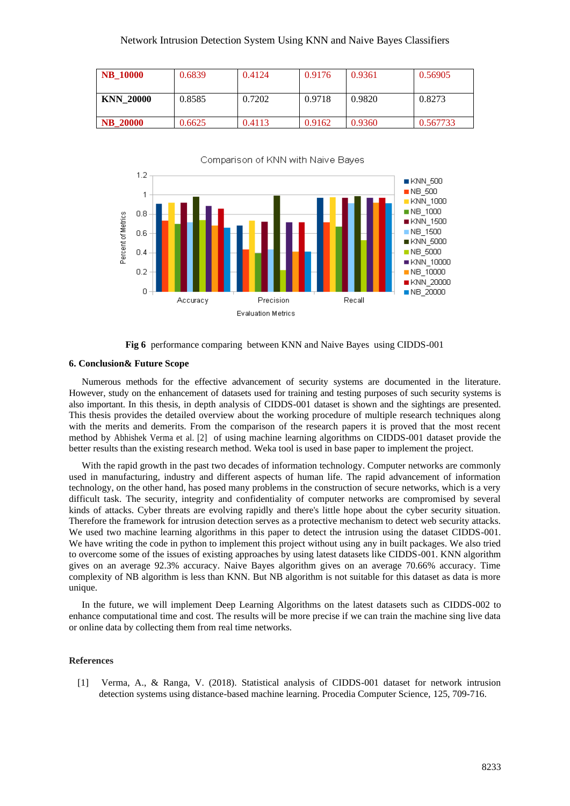| <b>NB</b> 10000  | 0.6839 | 0.4124 | 0.9176 | 0.9361 | 0.56905  |
|------------------|--------|--------|--------|--------|----------|
| <b>KNN 20000</b> | 0.8585 | 0.7202 | 0.9718 | 0.9820 | 0.8273   |
| <b>NB</b> 20000  | 0.6625 | 0.4113 | 0.9162 | 0.9360 | 0.567733 |



**Fig 6** performance comparing between KNN and Naive Bayes using CIDDS-001

#### **6. Conclusion& Future Scope**

Numerous methods for the effective advancement of security systems are documented in the literature. However, study on the enhancement of datasets used for training and testing purposes of such security systems is also important. In this thesis, in depth analysis of CIDDS-001 dataset is shown and the sightings are presented. This thesis provides the detailed overview about the working procedure of multiple research techniques along with the merits and demerits. From the comparison of the research papers it is proved that the most recent method by Abhishek Verma et al. [2] of using machine learning algorithms on CIDDS-001 dataset provide the better results than the existing research method. Weka tool is used in base paper to implement the project.

With the rapid growth in the past two decades of information technology. Computer networks are commonly used in manufacturing, industry and different aspects of human life. The rapid advancement of information technology, on the other hand, has posed many problems in the construction of secure networks, which is a very difficult task. The security, integrity and confidentiality of computer networks are compromised by several kinds of attacks. Cyber threats are evolving rapidly and there's little hope about the cyber security situation. Therefore the framework for intrusion detection serves as a protective mechanism to detect web security attacks. We used two machine learning algorithms in this paper to detect the intrusion using the dataset CIDDS-001. We have writing the code in python to implement this project without using any in built packages. We also tried to overcome some of the issues of existing approaches by using latest datasets like CIDDS-001. KNN algorithm gives on an average 92.3% accuracy. Naive Bayes algorithm gives on an average 70.66% accuracy. Time complexity of NB algorithm is less than KNN. But NB algorithm is not suitable for this dataset as data is more unique.

In the future, we will implement Deep Learning Algorithms on the latest datasets such as CIDDS-002 to enhance computational time and cost. The results will be more precise if we can train the machine sing live data or online data by collecting them from real time networks.

#### **References**

[1] Verma, A., & Ranga, V. (2018). Statistical analysis of CIDDS-001 dataset for network intrusion detection systems using distance-based machine learning. Procedia Computer Science, 125, 709-716.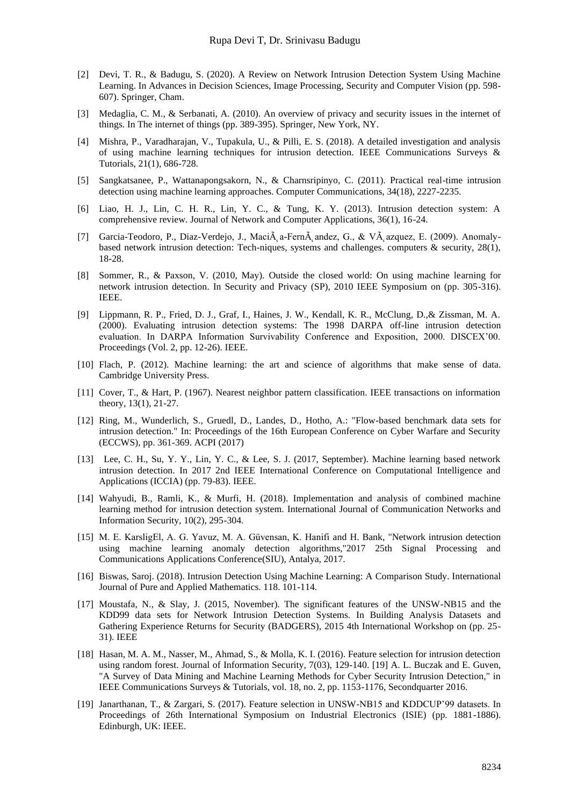- [2] Devi, T. R., & Badugu, S. (2020). A Review on Network Intrusion Detection System Using Machine Learning. In Advances in Decision Sciences, Image Processing, Security and Computer Vision (pp. 598- 607). Springer, Cham.
- [3] Medaglia, C. M., & Serbanati, A. (2010). An overview of privacy and security issues in the internet of things. In The internet of things (pp. 389-395). Springer, New York, NY.
- [4] Mishra, P., Varadharajan, V., Tupakula, U., & Pilli, E. S. (2018). A detailed investigation and analysis of using machine learning techniques for intrusion detection. IEEE Communications Surveys & Tutorials, 21(1), 686-728.
- [5] Sangkatsanee, P., Wattanapongsakorn, N., & Charnsripinyo, C. (2011). Practical real-time intrusion detection using machine learning approaches. Computer Communications, 34(18), 2227-2235.
- [6] Liao, H. J., Lin, C. H. R., Lin, Y. C., & Tung, K. Y. (2013). Intrusion detection system: A comprehensive review. Journal of Network and Computer Applications, 36(1), 16-24.
- [7] Garcia-Teodoro, P., Diaz-Verdejo, J., Macià a-Fernà andez, G., & VÃ azquez, E. (2009). Anomalybased network intrusion detection: Tech-niques, systems and challenges. computers  $\&$  security, 28(1), 18-28.
- [8] Sommer, R., & Paxson, V. (2010, May). Outside the closed world: On using machine learning for network intrusion detection. In Security and Privacy (SP), 2010 IEEE Symposium on (pp. 305-316). IEEE.
- [9] Lippmann, R. P., Fried, D. J., Graf, I., Haines, J. W., Kendall, K. R., McClung, D.,& Zissman, M. A. (2000). Evaluating intrusion detection systems: The 1998 DARPA off-line intrusion detection evaluation. In DARPA Information Survivability Conference and Exposition, 2000. DISCEX'00. Proceedings (Vol. 2, pp. 12-26). IEEE.
- [10] Flach, P. (2012). Machine learning: the art and science of algorithms that make sense of data. Cambridge University Press.
- [11] Cover, T., & Hart, P. (1967). Nearest neighbor pattern classification. IEEE transactions on information theory, 13(1), 21-27.
- [12] Ring, M., Wunderlich, S., Gruedl, D., Landes, D., Hotho, A.: "Flow-based benchmark data sets for intrusion detection." In: Proceedings of the 16th European Conference on Cyber Warfare and Security (ECCWS), pp. 361-369. ACPI (2017)
- [13] Lee, C. H., Su, Y. Y., Lin, Y. C., & Lee, S. J. (2017, September). Machine learning based network intrusion detection. In 2017 2nd IEEE International Conference on Computational Intelligence and Applications (ICCIA) (pp. 79-83). IEEE.
- [14] Wahyudi, B., Ramli, K., & Murfi, H. (2018). Implementation and analysis of combined machine learning method for intrusion detection system. International Journal of Communication Networks and Information Security, 10(2), 295-304.
- [15] M. E. KarsligЕl, A. G. Yavuz, M. A. Güvensan, K. Hanifi and H. Bank, "Network intrusion detection using machine learning anomaly detection algorithms,"2017 25th Signal Processing and Communications Applications Conference(SIU), Antalya, 2017.
- [16] Biswas, Saroj. (2018). Intrusion Detection Using Machine Learning: A Comparison Study. International Journal of Pure and Applied Mathematics. 118. 101-114.
- [17] Moustafa, N., & Slay, J. (2015, November). The significant features of the UNSW-NB15 and the KDD99 data sets for Network Intrusion Detection Systems. In Building Analysis Datasets and Gathering Experience Returns for Security (BADGERS), 2015 4th International Workshop on (pp. 25- 31). IEEE
- [18] Hasan, M. A. M., Nasser, M., Ahmad, S., & Molla, K. I. (2016). Feature selection for intrusion detection using random forest. Journal of Information Security, 7(03), 129-140. [19] A. L. Buczak and E. Guven, "A Survey of Data Mining and Machine Learning Methods for Cyber Security Intrusion Detection," in IEEE Communications Surveys & Tutorials, vol. 18, no. 2, pp. 1153-1176, Secondquarter 2016.
- [19] Janarthanan, T., & Zargari, S. (2017). Feature selection in UNSW-NB15 and KDDCUP'99 datasets. In Proceedings of 26th International Symposium on Industrial Electronics (ISIE) (pp. 1881-1886). Edinburgh, UK: IEEE.